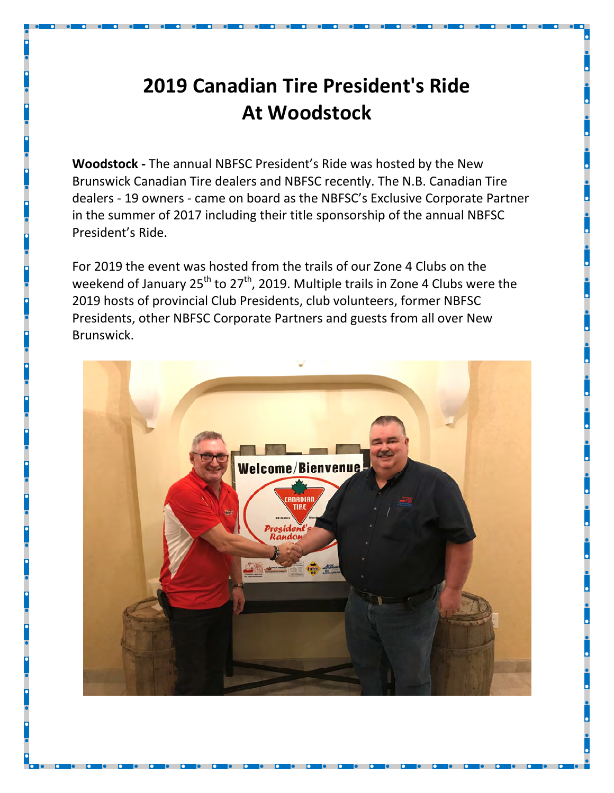## 2019 Canadian Tire President's Ride At Woodstock

Woodstock - The annual NBFSC President's Ride was hosted by the New Brunswick Canadian Tire dealers and NBFSC recently. The N.B. Canadian Tire dealers - 19 owners - came on board as the NBFSC's Exclusive Corporate Partner in the summer of 2017 including their title sponsorship of the annual NBFSC President's Ride.

For 2019 the event was hosted from the trails of our Zone 4 Clubs on the weekend of January  $25^{th}$  to  $27^{th}$ , 2019. Multiple trails in Zone 4 Clubs were the 2019 hosts of provincial Club Presidents, club volunteers, former NBFSC Presidents, other NBFSC Corporate Partners and guests from all over New Brunswick.

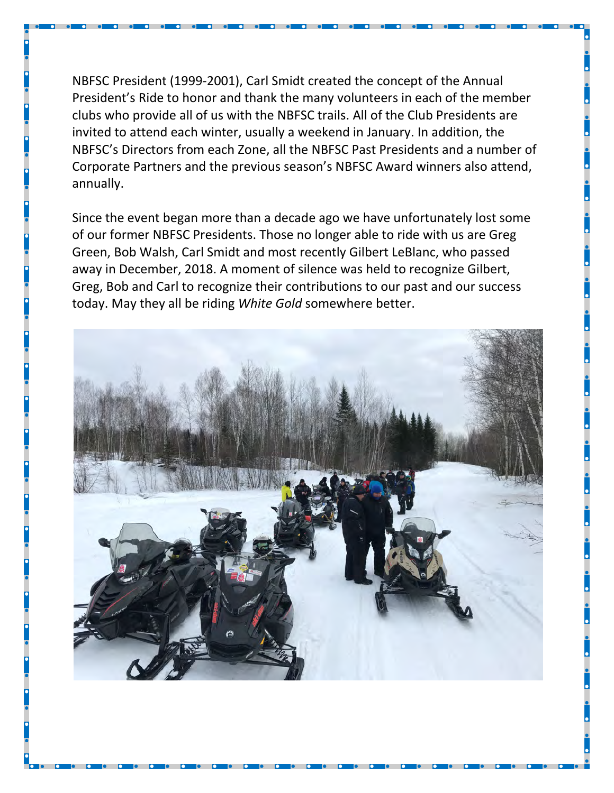NBFSC President (1999-2001), Carl Smidt created the concept of the Annual President's Ride to honor and thank the many volunteers in each of the member clubs who provide all of us with the NBFSC trails. All of the Club Presidents are invited to attend each winter, usually a weekend in January. In addition, the NBFSC's Directors from each Zone, all the NBFSC Past Presidents and a number of Corporate Partners and the previous season's NBFSC Award winners also attend, annually.

Since the event began more than a decade ago we have unfortunately lost some of our former NBFSC Presidents. Those no longer able to ride with us are Greg Green, Bob Walsh, Carl Smidt and most recently Gilbert LeBlanc, who passed away in December, 2018. A moment of silence was held to recognize Gilbert, Greg, Bob and Carl to recognize their contributions to our past and our success today. May they all be riding White Gold somewhere better.

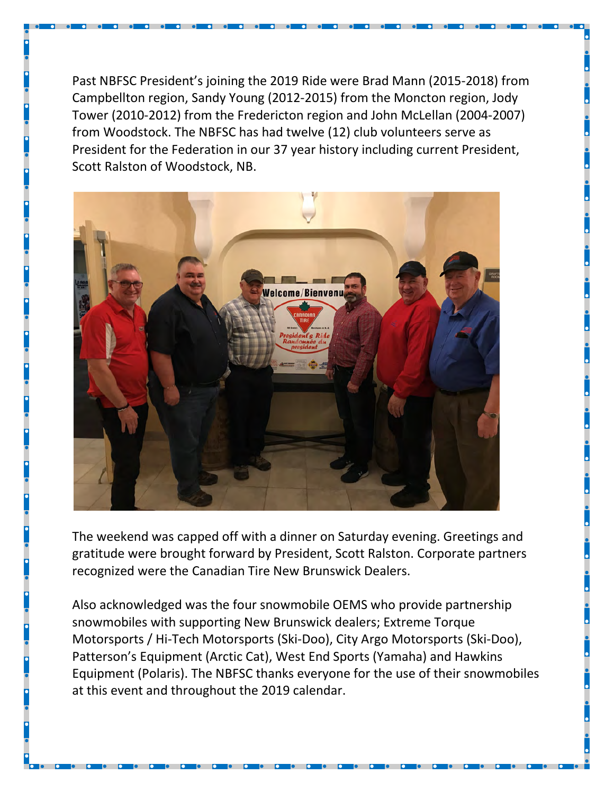Past NBFSC President's joining the 2019 Ride were Brad Mann (2015-2018) from Campbellton region, Sandy Young (2012-2015) from the Moncton region, Jody Tower (2010-2012) from the Fredericton region and John McLellan (2004-2007) from Woodstock. The NBFSC has had twelve (12) club volunteers serve as President for the Federation in our 37 year history including current President, Scott Ralston of Woodstock, NB.



The weekend was capped off with a dinner on Saturday evening. Greetings and gratitude were brought forward by President, Scott Ralston. Corporate partners recognized were the Canadian Tire New Brunswick Dealers.

Also acknowledged was the four snowmobile OEMS who provide partnership snowmobiles with supporting New Brunswick dealers; Extreme Torque Motorsports / Hi-Tech Motorsports (Ski-Doo), City Argo Motorsports (Ski-Doo), Patterson's Equipment (Arctic Cat), West End Sports (Yamaha) and Hawkins Equipment (Polaris). The NBFSC thanks everyone for the use of their snowmobiles at this event and throughout the 2019 calendar.